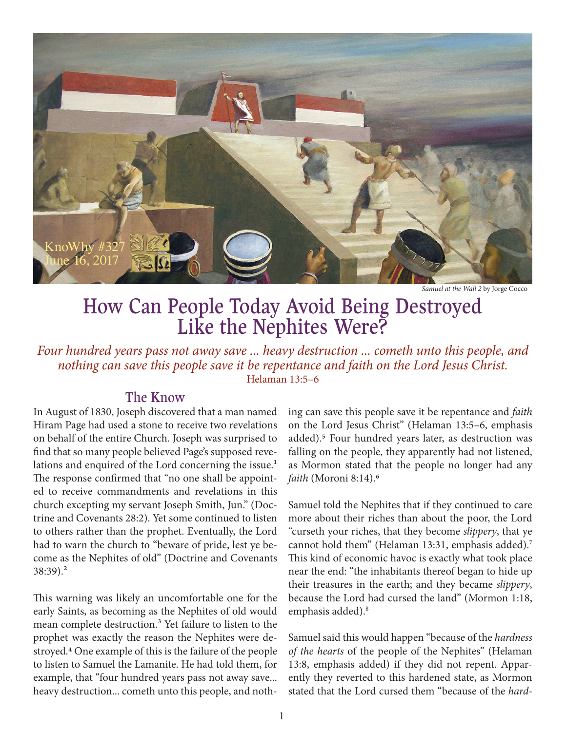

*Samuel at the Wall 2* by Jorge Cocco

# How Can People Today Avoid Being Destroyed Like the Nephites Were?

*Four hundred years pass not away save ... heavy destruction ... cometh unto this people, and nothing can save this people save it be repentance and faith on the Lord Jesus Christ.* Helaman 13:5–6

### The Know

In August of 1830, Joseph discovered that a man named Hiram Page had used a stone to receive two revelations on behalf of the entire Church. Joseph was surprised to find that so many people believed Page's supposed revelations and enquired of the Lord concerning the issue.<sup>1</sup> The response confirmed that "no one shall be appointed to receive commandments and revelations in this church excepting my servant Joseph Smith, Jun." (Doctrine and Covenants 28:2). Yet some continued to listen to others rather than the prophet. Eventually, the Lord had to warn the church to "beware of pride, lest ye become as the Nephites of old" (Doctrine and Covenants 38:39).2

This warning was likely an uncomfortable one for the early Saints, as becoming as the Nephites of old would mean complete destruction.<sup>3</sup> Yet failure to listen to the prophet was exactly the reason the Nephites were destroyed.4 One example of this is the failure of the people to listen to Samuel the Lamanite. He had told them, for example, that "four hundred years pass not away save... heavy destruction... cometh unto this people, and noth-

ing can save this people save it be repentance and *faith* on the Lord Jesus Christ" (Helaman 13:5–6, emphasis added).5 Four hundred years later, as destruction was falling on the people, they apparently had not listened, as Mormon stated that the people no longer had any *faith* (Moroni 8:14).6

Samuel told the Nephites that if they continued to care more about their riches than about the poor, the Lord "curseth your riches, that they become *slippery*, that ye cannot hold them" (Helaman 13:31, emphasis added).<sup>7</sup> This kind of economic havoc is exactly what took place near the end: "the inhabitants thereof began to hide up their treasures in the earth; and they became *slippery*, because the Lord had cursed the land" (Mormon 1:18, emphasis added).<sup>8</sup>

Samuel said this would happen "because of the *hardness of the hearts* of the people of the Nephites" (Helaman 13:8, emphasis added) if they did not repent. Apparently they reverted to this hardened state, as Mormon stated that the Lord cursed them "because of the *hard-*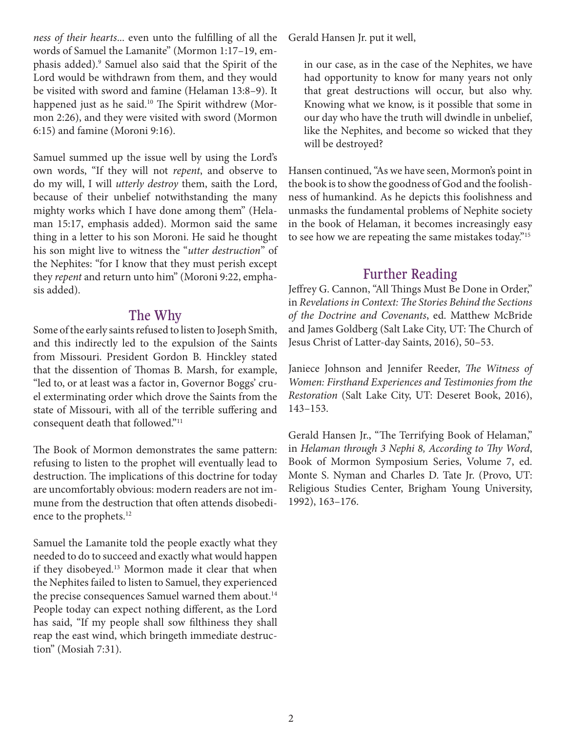*ness of their hearts*... even unto the fulfilling of all the words of Samuel the Lamanite" (Mormon 1:17–19, emphasis added).9 Samuel also said that the Spirit of the Lord would be withdrawn from them, and they would be visited with sword and famine (Helaman 13:8–9). It happened just as he said.<sup>10</sup> The Spirit withdrew (Mormon 2:26), and they were visited with sword (Mormon 6:15) and famine (Moroni 9:16).

Samuel summed up the issue well by using the Lord's own words, "If they will not *repent*, and observe to do my will, I will *utterly destroy* them, saith the Lord, because of their unbelief notwithstanding the many mighty works which I have done among them" (Helaman 15:17, emphasis added). Mormon said the same thing in a letter to his son Moroni. He said he thought his son might live to witness the "*utter destruction*" of the Nephites: "for I know that they must perish except they *repent* and return unto him" (Moroni 9:22, emphasis added).

#### The Why

Some of the early saints refused to listen to Joseph Smith, and this indirectly led to the expulsion of the Saints from Missouri. President Gordon B. Hinckley stated that the dissention of Thomas B. Marsh, for example, "led to, or at least was a factor in, Governor Boggs' cruel exterminating order which drove the Saints from the state of Missouri, with all of the terrible suffering and consequent death that followed."11

The Book of Mormon demonstrates the same pattern: refusing to listen to the prophet will eventually lead to destruction. The implications of this doctrine for today are uncomfortably obvious: modern readers are not immune from the destruction that often attends disobedience to the prophets.<sup>12</sup>

Samuel the Lamanite told the people exactly what they needed to do to succeed and exactly what would happen if they disobeyed.<sup>13</sup> Mormon made it clear that when the Nephites failed to listen to Samuel, they experienced the precise consequences Samuel warned them about.<sup>14</sup> People today can expect nothing different, as the Lord has said, "If my people shall sow filthiness they shall reap the east wind, which bringeth immediate destruction" (Mosiah 7:31).

Gerald Hansen Jr. put it well,

in our case, as in the case of the Nephites, we have had opportunity to know for many years not only that great destructions will occur, but also why. Knowing what we know, is it possible that some in our day who have the truth will dwindle in unbelief, like the Nephites, and become so wicked that they will be destroyed?

Hansen continued, "As we have seen, Mormon's point in the book is to show the goodness of God and the foolishness of humankind. As he depicts this foolishness and unmasks the fundamental problems of Nephite society in the book of Helaman, it becomes increasingly easy to see how we are repeating the same mistakes today."15

## Further Reading

Jeffrey G. Cannon, "All Things Must Be Done in Order," in *Revelations in Context: The Stories Behind the Sections of the Doctrine and Covenants*, ed. Matthew McBride and James Goldberg (Salt Lake City, UT: The Church of Jesus Christ of Latter-day Saints, 2016), 50–53.

Janiece Johnson and Jennifer Reeder, *The Witness of Women: Firsthand Experiences and Testimonies from the Restoration* (Salt Lake City, UT: Deseret Book, 2016), 143–153.

Gerald Hansen Jr., "The Terrifying Book of Helaman," in *Helaman through 3 Nephi 8, According to Thy Word*, Book of Mormon Symposium Series, Volume 7, ed. Monte S. Nyman and Charles D. Tate Jr. (Provo, UT: Religious Studies Center, Brigham Young University, 1992), 163–176.